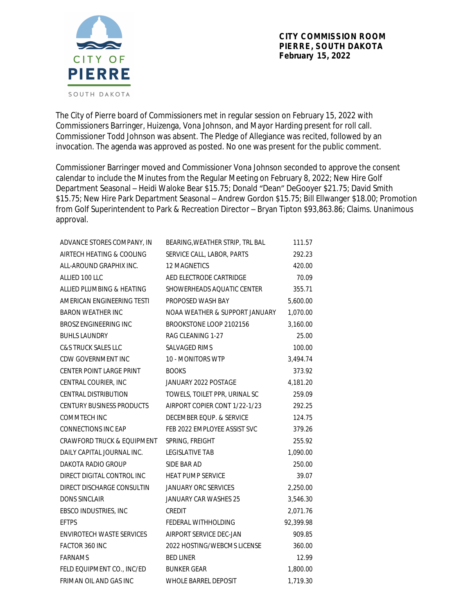

The City of Pierre board of Commissioners met in regular session on February 15, 2022 with Commissioners Barringer, Huizenga, Vona Johnson, and Mayor Harding present for roll call. Commissioner Todd Johnson was absent. The Pledge of Allegiance was recited, followed by an invocation. The agenda was approved as posted. No one was present for the public comment.

Commissioner Barringer moved and Commissioner Vona Johnson seconded to approve the consent calendar to include the Minutes from the Regular Meeting on February 8, 2022; New Hire Golf Department Seasonal – Heidi Waloke Bear \$15.75; Donald "Dean" DeGooyer \$21.75; David Smith \$15.75; New Hire Park Department Seasonal – Andrew Gordon \$15.75; Bill Ellwanger \$18.00; Promotion from Golf Superintendent to Park & Recreation Director – Bryan Tipton \$93,863.86; Claims. Unanimous approval.

| ADVANCE STORES COMPANY, IN       | BEARING, WEATHER STRIP, TRL BAL | 111.57    |
|----------------------------------|---------------------------------|-----------|
| AIRTECH HEATING & COOLING        | SERVICE CALL, LABOR, PARTS      | 292.23    |
| ALL-AROUND GRAPHIX INC.          | 12 MAGNETICS                    | 420.00    |
| ALLIED 100 LLC                   | AED ELECTRODE CARTRIDGE         | 70.09     |
| ALLIED PLUMBING & HEATING        | SHOWERHEADS AQUATIC CENTER      | 355.71    |
| AMERICAN ENGINEERING TESTI       | PROPOSED WASH BAY               | 5,600.00  |
| <b>BARON WEATHER INC</b>         | NOAA WEATHER & SUPPORT JANUARY  | 1,070.00  |
| <b>BROSZ ENGINEERING INC</b>     | BROOKSTONE LOOP 2102156         | 3,160.00  |
| <b>BUHLS LAUNDRY</b>             | RAG CLEANING 1-27               | 25.00     |
| <b>C&amp;S TRUCK SALES LLC</b>   | SALVAGED RIMS                   | 100.00    |
| CDW GOVERNMENT INC               | 10 - MONITORS WTP               | 3,494.74  |
| <b>CENTER POINT LARGE PRINT</b>  | <b>BOOKS</b>                    | 373.92    |
| CENTRAL COURIER, INC             | JANUARY 2022 POSTAGE            | 4,181.20  |
| <b>CENTRAL DISTRIBUTION</b>      | TOWELS, TOILET PPR, URINAL SC   | 259.09    |
| <b>CENTURY BUSINESS PRODUCTS</b> | AIRPORT COPIER CONT 1/22-1/23   | 292.25    |
| <b>COMMTECH INC</b>              | DECEMBER EQUP. & SERVICE        | 124.75    |
| <b>CONNECTIONS INC EAP</b>       | FEB 2022 EMPLOYEE ASSIST SVC    | 379.26    |
| CRAWFORD TRUCK & EQUIPMENT       | SPRING, FREIGHT                 | 255.92    |
| DAILY CAPITAL JOURNAL INC.       | <b>LEGISLATIVE TAB</b>          | 1,090.00  |
| DAKOTA RADIO GROUP               | SIDE BAR AD                     | 250.00    |
| DIRECT DIGITAL CONTROL INC       | <b>HEAT PUMP SERVICE</b>        | 39.07     |
| DIRECT DISCHARGE CONSULTIN       | <b>JANUARY ORC SERVICES</b>     | 2,250.00  |
| <b>DONS SINCLAIR</b>             | JANUARY CAR WASHES 25           | 3,546.30  |
| EBSCO INDUSTRIES, INC            | CREDIT                          | 2,071.76  |
| <b>EFTPS</b>                     | FEDERAL WITHHOLDING             | 92,399.98 |
| <b>ENVIROTECH WASTE SERVICES</b> | AIRPORT SERVICE DEC-JAN         | 909.85    |
| FACTOR 360 INC                   | 2022 HOSTING/WEBCMS LICENSE     | 360.00    |
| <b>FARNAMS</b>                   | <b>BED LINER</b>                | 12.99     |
| FELD EQUIPMENT CO., INC/ED       | <b>BUNKER GEAR</b>              | 1,800.00  |
| FRIMAN OIL AND GAS INC           | <b>WHOLE BARREL DEPOSIT</b>     | 1,719.30  |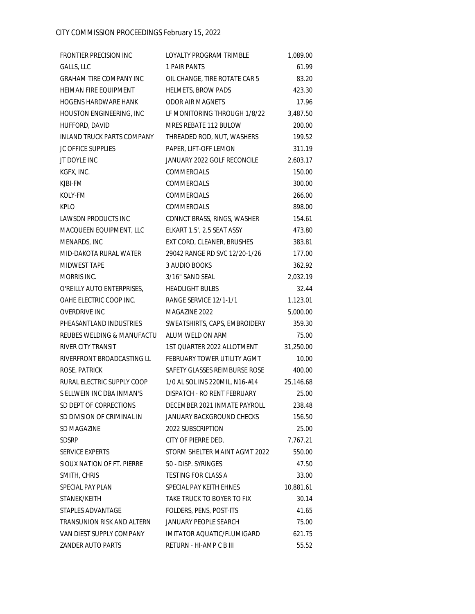| FRONTIER PRECISION INC            | LOYALTY PROGRAM TRIMBLE        | 1,089.00  |
|-----------------------------------|--------------------------------|-----------|
| GALLS, LLC                        | 1 PAIR PANTS                   | 61.99     |
| <b>GRAHAM TIRE COMPANY INC</b>    | OIL CHANGE, TIRE ROTATE CAR 5  | 83.20     |
| HEIMAN FIRE EQUIPMENT             | HELMETS, BROW PADS             | 423.30    |
| <b>HOGENS HARDWARE HANK</b>       | <b>ODOR AIR MAGNETS</b>        | 17.96     |
| HOUSTON ENGINEERING, INC          | LF MONITORING THROUGH 1/8/22   | 3,487.50  |
| HUFFORD, DAVID                    | MRES REBATE 112 BULOW          | 200.00    |
| <b>INLAND TRUCK PARTS COMPANY</b> | THREADED ROD, NUT, WASHERS     | 199.52    |
| <b>JC OFFICE SUPPLIES</b>         | PAPER, LIFT-OFF LEMON          | 311.19    |
| JT DOYLE INC                      | JANUARY 2022 GOLF RECONCILE    | 2,603.17  |
| KGFX, INC.                        | <b>COMMERCIALS</b>             | 150.00    |
| KJBI-FM                           | COMMERCIALS                    | 300.00    |
| KOLY-FM                           | COMMERCIALS                    | 266.00    |
| <b>KPLO</b>                       | COMMERCIALS                    | 898.00    |
| <b>LAWSON PRODUCTS INC</b>        | CONNCT BRASS, RINGS, WASHER    | 154.61    |
| MACQUEEN EQUIPMENT, LLC           | ELKART 1.5', 2.5 SEAT ASSY     | 473.80    |
| MENARDS, INC                      | EXT CORD, CLEANER, BRUSHES     | 383.81    |
| MID-DAKOTA RURAL WATER            | 29042 RANGE RD SVC 12/20-1/26  | 177.00    |
| MIDWEST TAPE                      | 3 AUDIO BOOKS                  | 362.92    |
| MORRIS INC.                       | 3/16" SAND SEAL                | 2,032.19  |
| O'REILLY AUTO ENTERPRISES,        | <b>HEADLIGHT BULBS</b>         | 32.44     |
| OAHE ELECTRIC COOP INC.           | RANGE SERVICE 12/1-1/1         | 1,123.01  |
| <b>OVERDRIVE INC</b>              | MAGAZINE 2022                  | 5,000.00  |
| PHEASANTLAND INDUSTRIES           | SWEATSHIRTS, CAPS, EMBROIDERY  | 359.30    |
| REUBES WELDING & MANUFACTU        | ALUM WELD ON ARM               | 75.00     |
| RIVER CITY TRANSIT                | 1ST QUARTER 2022 ALLOTMENT     | 31,250.00 |
| RIVERFRONT BROADCASTING LL        | FEBRUARY TOWER UTILITY AGMT    | 10.00     |
| ROSE, PATRICK                     | SAFETY GLASSES REIMBURSE ROSE  | 400.00    |
| RURAL ELECTRIC SUPPLY COOP        | 1/0 AL SOL INS 220MIL, N16-#14 | 25,146.68 |
| S ELLWEIN INC DBA INMAN'S         | DISPATCH - RO RENT FEBRUARY    | 25.00     |
| SD DEPT OF CORRECTIONS            | DECEMBER 2021 INMATE PAYROLL   | 238.48    |
| SD DIVISION OF CRIMINAL IN        | JANUARY BACKGROUND CHECKS      | 156.50    |
| SD MAGAZINE                       | 2022 SUBSCRIPTION              | 25.00     |
| <b>SDSRP</b>                      | CITY OF PIERRE DED.            | 7,767.21  |
| <b>SERVICE EXPERTS</b>            | STORM SHELTER MAINT AGMT 2022  | 550.00    |
| SIOUX NATION OF FT. PIERRE        | 50 - DISP. SYRINGES            | 47.50     |
| SMITH, CHRIS                      | <b>TESTING FOR CLASS A</b>     | 33.00     |
| SPECIAL PAY PLAN                  | SPECIAL PAY KEITH EHNES        | 10,881.61 |
| STANEK/KEITH                      | TAKE TRUCK TO BOYER TO FIX     | 30.14     |
| STAPLES ADVANTAGE                 | FOLDERS, PENS, POST-ITS        | 41.65     |
| TRANSUNION RISK AND ALTERN        | JANUARY PEOPLE SEARCH          | 75.00     |
| VAN DIEST SUPPLY COMPANY          | IMITATOR AQUATIC/FLUMIGARD     | 621.75    |
| <b>ZANDER AUTO PARTS</b>          | RETURN - HI-AMP C B III        | 55.52     |